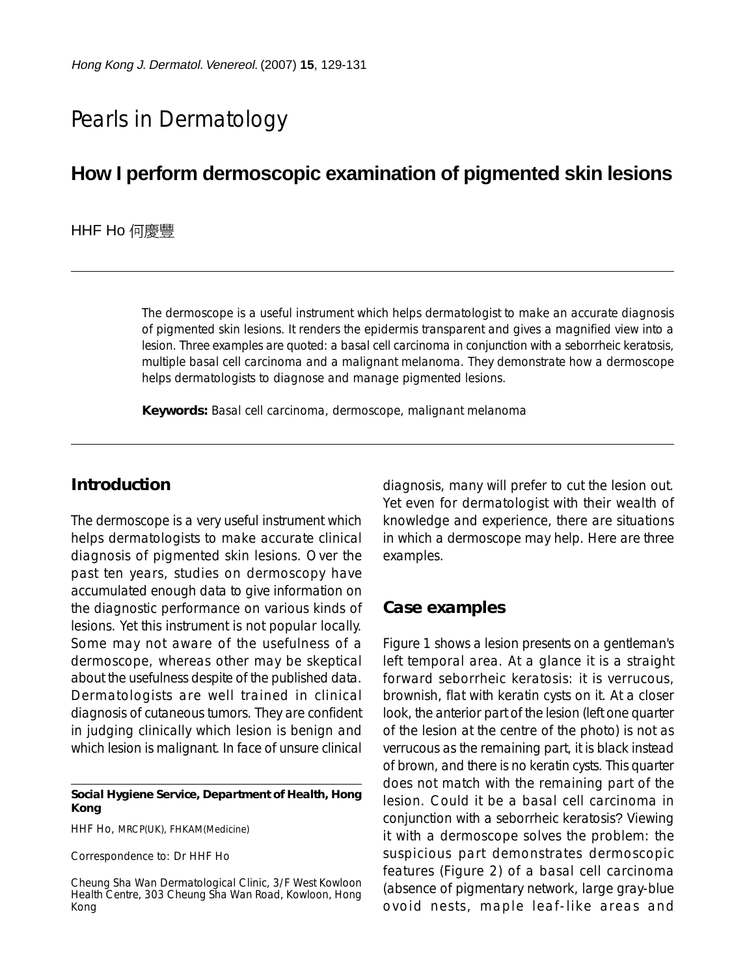# Pearls in Dermatology

## **How I perform dermoscopic examination of pigmented skin lesions**

#### HHF Ho 何慶豐

The dermoscope is a useful instrument which helps dermatologist to make an accurate diagnosis of pigmented skin lesions. It renders the epidermis transparent and gives a magnified view into a lesion. Three examples are quoted: a basal cell carcinoma in conjunction with a seborrheic keratosis, multiple basal cell carcinoma and a malignant melanoma. They demonstrate how a dermoscope helps dermatologists to diagnose and manage pigmented lesions.

**Keywords:** Basal cell carcinoma, dermoscope, malignant melanoma

## **Introduction**

The dermoscope is a very useful instrument which helps dermatologists to make accurate clinical diagnosis of pigmented skin lesions. Over the past ten years, studies on dermoscopy have accumulated enough data to give information on the diagnostic performance on various kinds of lesions. Yet this instrument is not popular locally. Some may not aware of the usefulness of a dermoscope, whereas other may be skeptical about the usefulness despite of the published data. Dermatologists are well trained in clinical diagnosis of cutaneous tumors. They are confident in judging clinically which lesion is benign and which lesion is malignant. In face of unsure clinical

#### **Social Hygiene Service, Department of Health, Hong Kong**

HHF Ho, MRCP(UK), FHKAM(Medicine)

Correspondence to: Dr HHF Ho

Cheung Sha Wan Dermatological Clinic, 3/F West Kowloon Health Centre, 303 Cheung Sha Wan Road, Kowloon, Hong Kong

diagnosis, many will prefer to cut the lesion out. Yet even for dermatologist with their wealth of knowledge and experience, there are situations in which a dermoscope may help. Here are three examples.

### **Case examples**

Figure 1 shows a lesion presents on a gentleman's left temporal area. At a glance it is a straight forward seborrheic keratosis: it is verrucous, brownish, flat with keratin cysts on it. At a closer look, the anterior part of the lesion (left one quarter of the lesion at the centre of the photo) is not as verrucous as the remaining part, it is black instead of brown, and there is no keratin cysts. This quarter does not match with the remaining part of the lesion. Could it be a basal cell carcinoma in conjunction with a seborrheic keratosis? Viewing it with a dermoscope solves the problem: the suspicious part demonstrates dermoscopic features (Figure 2) of a basal cell carcinoma (absence of pigmentary network, large gray-blue ovoid nests, maple leaf-like areas and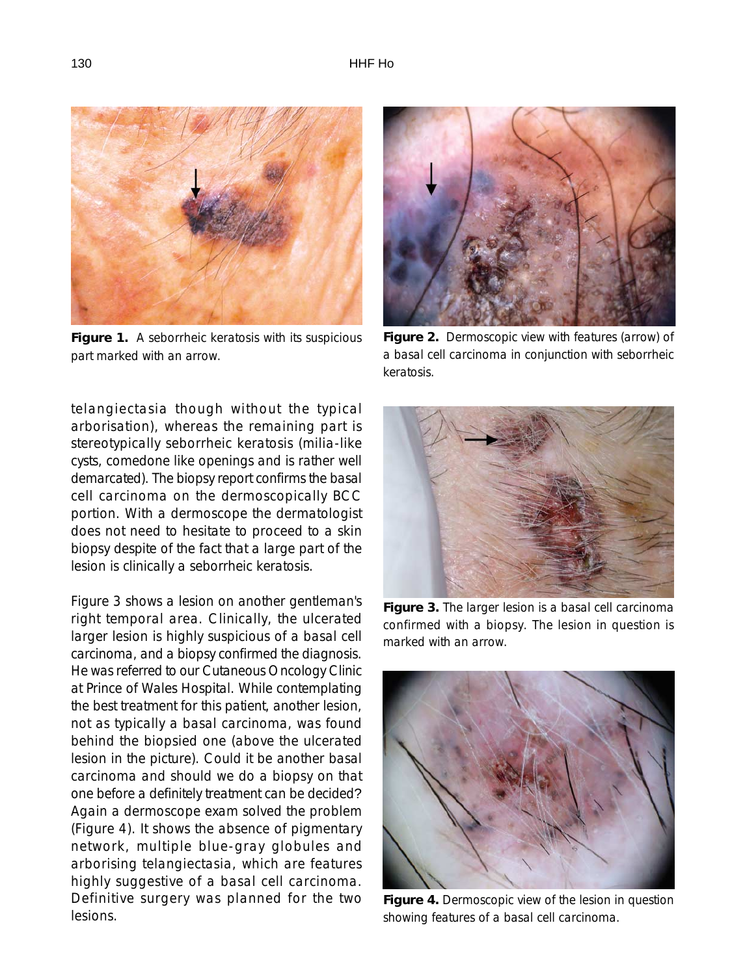

**Figure 1.** A seborrheic keratosis with its suspicious part marked with an arrow.

telangiectasia though without the typical arborisation), whereas the remaining part is stereotypically seborrheic keratosis (milia-like cysts, comedone like openings and is rather well demarcated). The biopsy report confirms the basal cell carcinoma on the dermoscopically BCC portion. With a dermoscope the dermatologist does not need to hesitate to proceed to a skin biopsy despite of the fact that a large part of the lesion is clinically a seborrheic keratosis.

Figure 3 shows a lesion on another gentleman's right temporal area. Clinically, the ulcerated larger lesion is highly suspicious of a basal cell carcinoma, and a biopsy confirmed the diagnosis. He was referred to our Cutaneous Oncology Clinic at Prince of Wales Hospital. While contemplating the best treatment for this patient, another lesion, not as typically a basal carcinoma, was found behind the biopsied one (above the ulcerated lesion in the picture). Could it be another basal carcinoma and should we do a biopsy on that one before a definitely treatment can be decided? Again a dermoscope exam solved the problem (Figure 4). It shows the absence of pigmentary network, multiple blue-gray globules and arborising telangiectasia, which are features highly suggestive of a basal cell carcinoma. Definitive surgery was planned for the two lesions.



**Figure 2.** Dermoscopic view with features (arrow) of a basal cell carcinoma in conjunction with seborrheic keratosis.



**Figure 3.** The larger lesion is a basal cell carcinoma confirmed with a biopsy. The lesion in question is marked with an arrow.



**Figure 4.** Dermoscopic view of the lesion in question showing features of a basal cell carcinoma.